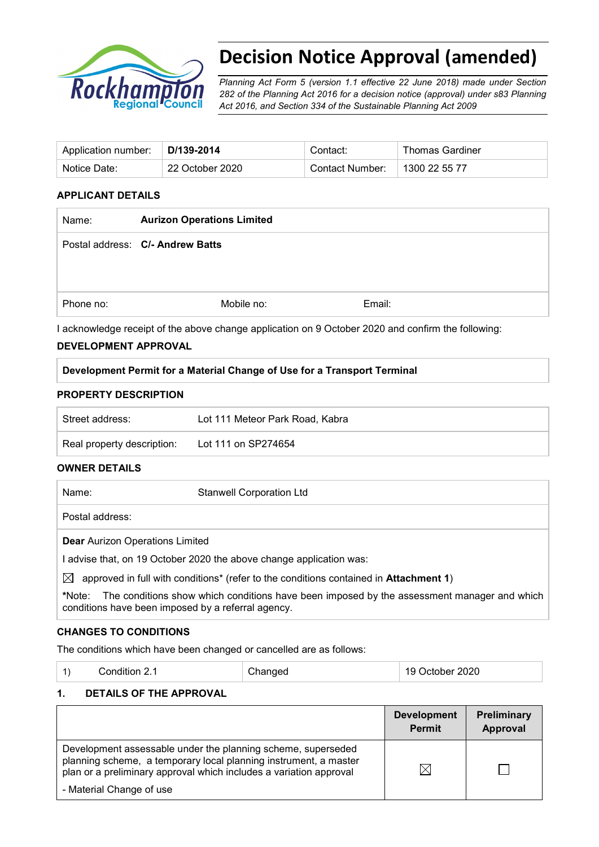

# **Decision Notice Approval (amended)**

*Planning Act Form 5 (version 1.1 effective 22 June 2018) made under Section 282 of the Planning Act 2016 for a decision notice (approval) under s83 Planning Act 2016, and Section 334 of the Sustainable Planning Act 2009*

| Application number: | □D/139-2014     | Contact:        | Thomas Gardiner |
|---------------------|-----------------|-----------------|-----------------|
| Notice Date:        | 22 October 2020 | Contact Number: | 1300 22 55 77   |

### **APPLICANT DETAILS**

| <b>Aurizon Operations Limited</b> |        |  |
|-----------------------------------|--------|--|
| Postal address: C/- Andrew Batts  |        |  |
|                                   |        |  |
| Mobile no:                        | Email: |  |
|                                   |        |  |

I acknowledge receipt of the above change application on 9 October 2020 and confirm the following:

## **DEVELOPMENT APPROVAL**

| Development Permit for a Material Change of Use for a Transport Terminal |  |
|--------------------------------------------------------------------------|--|
|                                                                          |  |

#### **PROPERTY DESCRIPTION**

| Street address:            | Lot 111 Meteor Park Road, Kabra |
|----------------------------|---------------------------------|
| Real property description: | Lot 111 on SP274654             |

#### **OWNER DETAILS**

| Name:                                                             | <b>Stanwell Corporation Ltd</b>                                                                                 |
|-------------------------------------------------------------------|-----------------------------------------------------------------------------------------------------------------|
| Postal address:                                                   |                                                                                                                 |
| <b>Dear Aurizon Operations Limited</b>                            |                                                                                                                 |
| advise that, on 19 October 2020 the above change application was: |                                                                                                                 |
| $\mathsf{N}$                                                      | . A Annual Collection of the collection of the fourth that are although the contribution of the demonstrated to |

 $\boxtimes$  approved in full with conditions<sup>\*</sup> (refer to the conditions contained in **Attachment 1**)

**\***Note:The conditions show which conditions have been imposed by the assessment manager and which conditions have been imposed by a referral agency.

# **CHANGES TO CONDITIONS**

The conditions which have been changed or cancelled are as follows:

|  | Condition 2.1 | Changed | 19 October 2020 |
|--|---------------|---------|-----------------|
|--|---------------|---------|-----------------|

# **1. DETAILS OF THE APPROVAL**

|                                                                                                                                                                                                        | <b>Development</b><br><b>Permit</b> | Preliminary<br>Approval |
|--------------------------------------------------------------------------------------------------------------------------------------------------------------------------------------------------------|-------------------------------------|-------------------------|
| Development assessable under the planning scheme, superseded<br>planning scheme, a temporary local planning instrument, a master<br>plan or a preliminary approval which includes a variation approval | IX                                  |                         |
| - Material Change of use                                                                                                                                                                               |                                     |                         |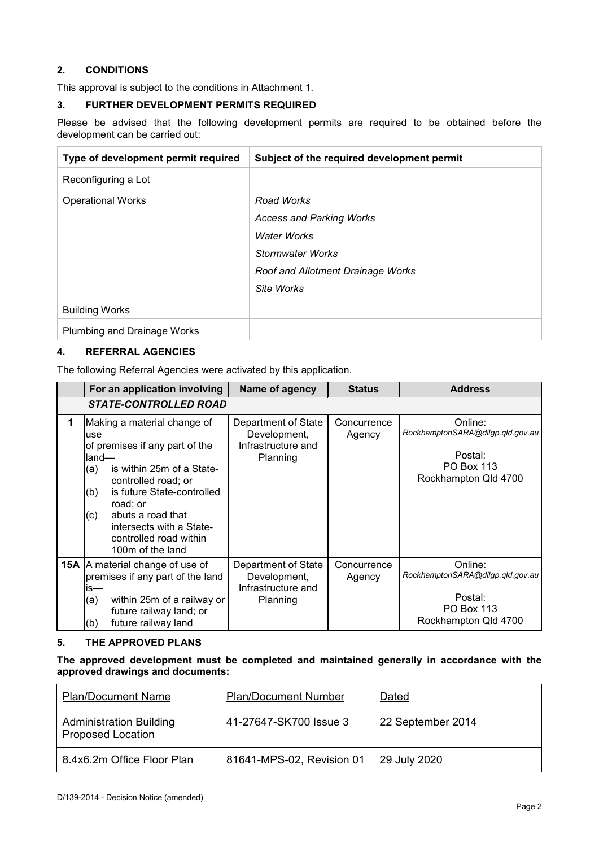### **2. CONDITIONS**

This approval is subject to the conditions in Attachment 1.

#### **3. FURTHER DEVELOPMENT PERMITS REQUIRED**

Please be advised that the following development permits are required to be obtained before the development can be carried out:

| Type of development permit required | Subject of the required development permit |
|-------------------------------------|--------------------------------------------|
| Reconfiguring a Lot                 |                                            |
| <b>Operational Works</b>            | Road Works                                 |
|                                     | <b>Access and Parking Works</b>            |
|                                     | Water Works                                |
|                                     | Stormwater Works                           |
|                                     | Roof and Allotment Drainage Works          |
|                                     | Site Works                                 |
| <b>Building Works</b>               |                                            |
| <b>Plumbing and Drainage Works</b>  |                                            |

## **4. REFERRAL AGENCIES**

The following Referral Agencies were activated by this application.

|   | For an application involving                                                                                                                                                                                                                                                                    | Name of agency                                                        | <b>Status</b>         | <b>Address</b>                                                                                      |
|---|-------------------------------------------------------------------------------------------------------------------------------------------------------------------------------------------------------------------------------------------------------------------------------------------------|-----------------------------------------------------------------------|-----------------------|-----------------------------------------------------------------------------------------------------|
|   | <b>STATE-CONTROLLED ROAD</b>                                                                                                                                                                                                                                                                    |                                                                       |                       |                                                                                                     |
| 1 | Making a material change of<br>use<br>of premises if any part of the<br>land—<br>is within 25m of a State-<br>(a)<br>controlled road; or<br>is future State-controlled<br>(b)<br>road; or<br>abuts a road that<br>(c)<br>intersects with a State-<br>controlled road within<br>100m of the land | Department of State<br>Development,<br>Infrastructure and<br>Planning | Concurrence<br>Agency | Online:<br>RockhamptonSARA@dilgp.qld.gov.au<br>Postal:<br><b>PO Box 113</b><br>Rockhampton Qld 4700 |
|   | <b>15A</b>   A material change of use of<br>premises if any part of the land<br>is—<br>(a)<br>within 25m of a railway or<br>future railway land; or<br>future railway land<br>(b)                                                                                                               | Department of State<br>Development,<br>Infrastructure and<br>Planning | Concurrence<br>Agency | Online:<br>RockhamptonSARA@dilgp.qld.gov.au<br>Postal:<br><b>PO Box 113</b><br>Rockhampton Qld 4700 |

#### **5. THE APPROVED PLANS**

**The approved development must be completed and maintained generally in accordance with the approved drawings and documents:**

| <b>Plan/Document Name</b>                                  | <b>Plan/Document Number</b> | Dated             |
|------------------------------------------------------------|-----------------------------|-------------------|
| <b>Administration Building</b><br><b>Proposed Location</b> | 41-27647-SK700 Issue 3      | 22 September 2014 |
| 8.4x6.2m Office Floor Plan                                 | 81641-MPS-02, Revision 01   | 29 July 2020      |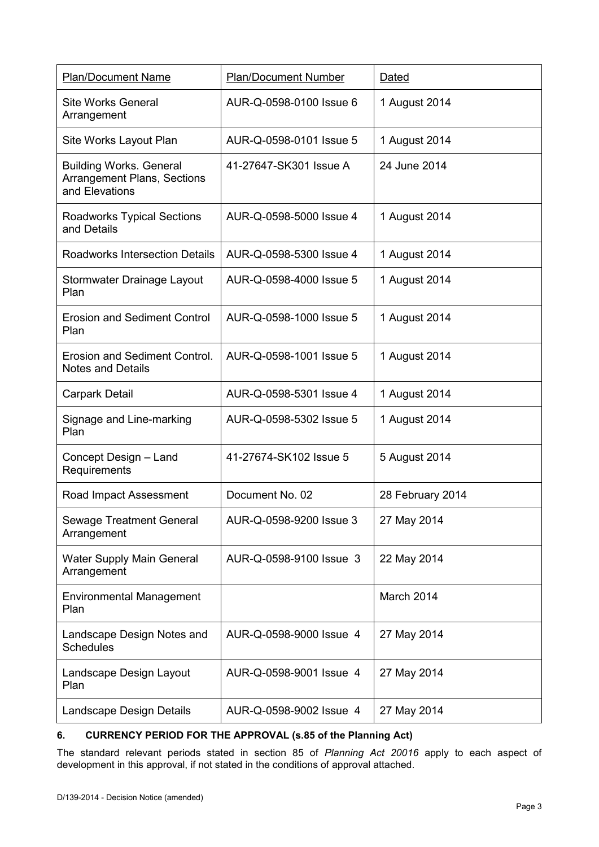| <b>Plan/Document Name</b>                                                              | <b>Plan/Document Number</b> | Dated            |
|----------------------------------------------------------------------------------------|-----------------------------|------------------|
| <b>Site Works General</b><br>Arrangement                                               | AUR-Q-0598-0100 Issue 6     | 1 August 2014    |
| Site Works Layout Plan                                                                 | AUR-Q-0598-0101 Issue 5     | 1 August 2014    |
| <b>Building Works. General</b><br><b>Arrangement Plans, Sections</b><br>and Elevations | 41-27647-SK301 Issue A      | 24 June 2014     |
| <b>Roadworks Typical Sections</b><br>and Details                                       | AUR-Q-0598-5000 Issue 4     | 1 August 2014    |
| <b>Roadworks Intersection Details</b>                                                  | AUR-Q-0598-5300 Issue 4     | 1 August 2014    |
| Stormwater Drainage Layout<br>Plan                                                     | AUR-Q-0598-4000 Issue 5     | 1 August 2014    |
| <b>Erosion and Sediment Control</b><br>Plan                                            | AUR-Q-0598-1000 Issue 5     | 1 August 2014    |
| Erosion and Sediment Control.<br><b>Notes and Details</b>                              | AUR-Q-0598-1001 Issue 5     | 1 August 2014    |
| <b>Carpark Detail</b>                                                                  | AUR-Q-0598-5301 Issue 4     | 1 August 2014    |
| Signage and Line-marking<br>Plan                                                       | AUR-Q-0598-5302 Issue 5     | 1 August 2014    |
| Concept Design - Land<br>Requirements                                                  | 41-27674-SK102 Issue 5      | 5 August 2014    |
| Road Impact Assessment                                                                 | Document No. 02             | 28 February 2014 |
| <b>Sewage Treatment General</b><br>Arrangement                                         | AUR-Q-0598-9200 Issue 3     | 27 May 2014      |
| Water Supply Main General<br>Arrangement                                               | AUR-Q-0598-9100 Issue 3     | 22 May 2014      |
| <b>Environmental Management</b><br>Plan                                                |                             | March 2014       |
| Landscape Design Notes and<br><b>Schedules</b>                                         | AUR-Q-0598-9000 Issue 4     | 27 May 2014      |
| Landscape Design Layout<br>Plan                                                        | AUR-Q-0598-9001 Issue 4     | 27 May 2014      |
| Landscape Design Details                                                               | AUR-Q-0598-9002 Issue 4     | 27 May 2014      |

### **6. CURRENCY PERIOD FOR THE APPROVAL (s.85 of the Planning Act)**

The standard relevant periods stated in section 85 of *Planning Act 20016* apply to each aspect of development in this approval, if not stated in the conditions of approval attached.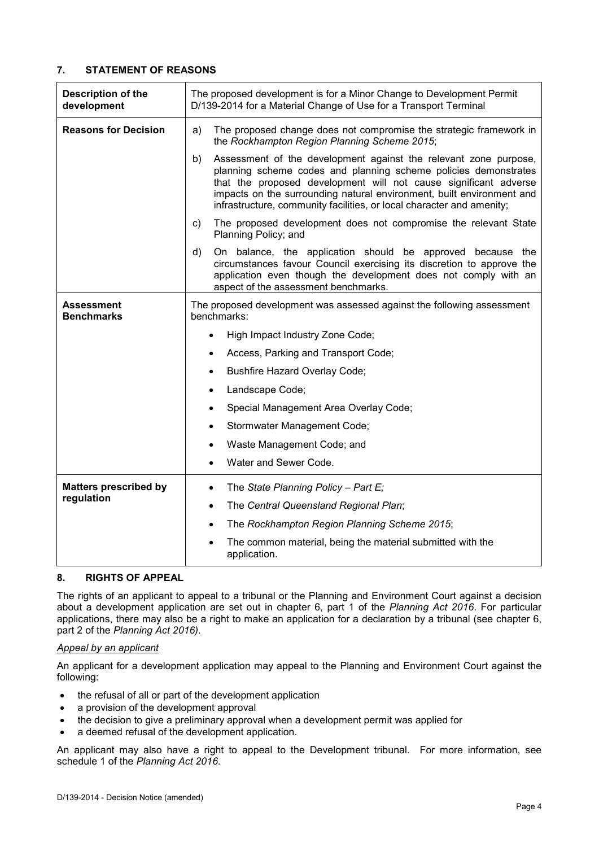#### **7. STATEMENT OF REASONS**

| <b>Description of the</b><br>development | The proposed development is for a Minor Change to Development Permit<br>D/139-2014 for a Material Change of Use for a Transport Terminal                                                                                                                                                                                                                        |  |
|------------------------------------------|-----------------------------------------------------------------------------------------------------------------------------------------------------------------------------------------------------------------------------------------------------------------------------------------------------------------------------------------------------------------|--|
| <b>Reasons for Decision</b>              | The proposed change does not compromise the strategic framework in<br>a)<br>the Rockhampton Region Planning Scheme 2015;                                                                                                                                                                                                                                        |  |
|                                          | Assessment of the development against the relevant zone purpose,<br>b)<br>planning scheme codes and planning scheme policies demonstrates<br>that the proposed development will not cause significant adverse<br>impacts on the surrounding natural environment, built environment and<br>infrastructure, community facilities, or local character and amenity; |  |
|                                          | The proposed development does not compromise the relevant State<br>C)<br>Planning Policy; and                                                                                                                                                                                                                                                                   |  |
|                                          | On balance, the application should be approved because the<br>d)<br>circumstances favour Council exercising its discretion to approve the<br>application even though the development does not comply with an<br>aspect of the assessment benchmarks.                                                                                                            |  |
| <b>Assessment</b><br><b>Benchmarks</b>   | The proposed development was assessed against the following assessment<br>benchmarks:                                                                                                                                                                                                                                                                           |  |
|                                          | High Impact Industry Zone Code;                                                                                                                                                                                                                                                                                                                                 |  |
|                                          | Access, Parking and Transport Code;                                                                                                                                                                                                                                                                                                                             |  |
|                                          | <b>Bushfire Hazard Overlay Code;</b><br>$\bullet$                                                                                                                                                                                                                                                                                                               |  |
|                                          | Landscape Code;<br>$\bullet$                                                                                                                                                                                                                                                                                                                                    |  |
|                                          | Special Management Area Overlay Code;<br>$\bullet$                                                                                                                                                                                                                                                                                                              |  |
|                                          | Stormwater Management Code;                                                                                                                                                                                                                                                                                                                                     |  |
|                                          | Waste Management Code; and                                                                                                                                                                                                                                                                                                                                      |  |
|                                          | Water and Sewer Code.                                                                                                                                                                                                                                                                                                                                           |  |
| <b>Matters prescribed by</b>             | The State Planning Policy - Part E;<br>$\bullet$                                                                                                                                                                                                                                                                                                                |  |
| regulation                               | The Central Queensland Regional Plan;<br>$\bullet$                                                                                                                                                                                                                                                                                                              |  |
|                                          | The Rockhampton Region Planning Scheme 2015;<br>$\bullet$                                                                                                                                                                                                                                                                                                       |  |
|                                          | The common material, being the material submitted with the<br>application.                                                                                                                                                                                                                                                                                      |  |

#### **8. RIGHTS OF APPEAL**

The rights of an applicant to appeal to a tribunal or the Planning and Environment Court against a decision about a development application are set out in chapter 6, part 1 of the *Planning Act 2016*. For particular applications, there may also be a right to make an application for a declaration by a tribunal (see chapter 6, part 2 of the *Planning Act 2016).*

#### *Appeal by an applicant*

An applicant for a development application may appeal to the Planning and Environment Court against the following:

- the refusal of all or part of the development application
- a provision of the development approval
- the decision to give a preliminary approval when a development permit was applied for
- a deemed refusal of the development application.

An applicant may also have a right to appeal to the Development tribunal. For more information, see schedule 1 of the *Planning Act 2016*.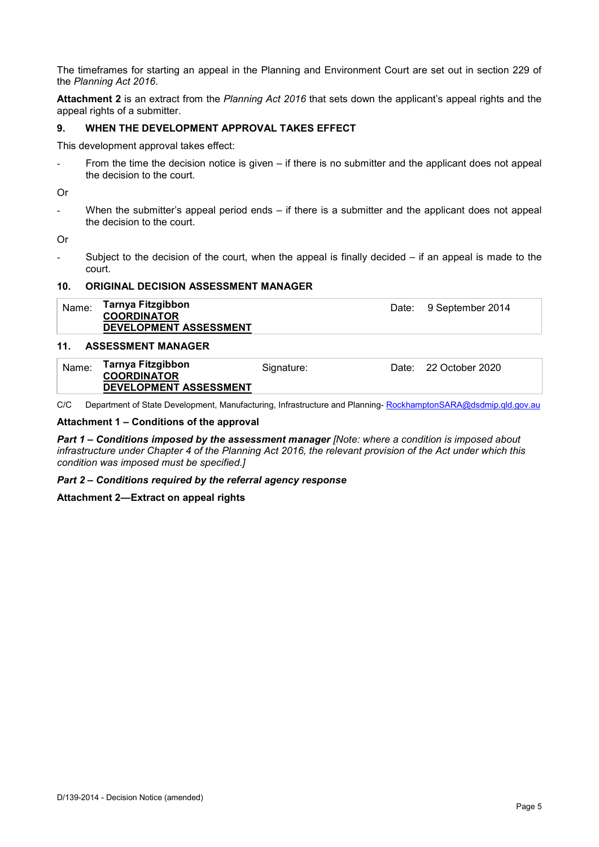The timeframes for starting an appeal in the Planning and Environment Court are set out in section 229 of the *Planning Act 2016*.

**Attachment 2** is an extract from the *Planning Act 2016* that sets down the applicant's appeal rights and the appeal rights of a submitter.

#### **9. WHEN THE DEVELOPMENT APPROVAL TAKES EFFECT**

This development approval takes effect:

- From the time the decision notice is given – if there is no submitter and the applicant does not appeal the decision to the court.

Or

- When the submitter's appeal period ends – if there is a submitter and the applicant does not appeal the decision to the court.

Or

Subject to the decision of the court, when the appeal is finally decided  $-$  if an appeal is made to the court.

#### **10. ORIGINAL DECISION ASSESSMENT MANAGER**

| Name: | Tarnya Fitzgibbon<br><b>COORDINATOR</b><br>DEVELOPMENT ASSESSMENT | Date: 9 September 2014 |
|-------|-------------------------------------------------------------------|------------------------|
|       |                                                                   |                        |

#### **11. ASSESSMENT MANAGER**

| Name: | Tarnya Fitzgibbon<br><b>COORDINATOR</b> | Signature: | Date: 22 October 2020 |
|-------|-----------------------------------------|------------|-----------------------|
|       | DEVELOPMENT ASSESSMENT                  |            |                       |

C/C Department of State Development, Manufacturing, Infrastructure and Planning- [RockhamptonSARA@dsdmip.qld.gov.au](mailto:RockhamptonSARA@dsdmip.qld.gov.au)

#### **Attachment 1 – Conditions of the approval**

*Part 1* **–** *Conditions imposed by the assessment manager [Note: where a condition is imposed about infrastructure under Chapter 4 of the Planning Act 2016, the relevant provision of the Act under which this condition was imposed must be specified.]*

#### *Part 2 – Conditions required by the referral agency response*

#### **Attachment 2—Extract on appeal rights**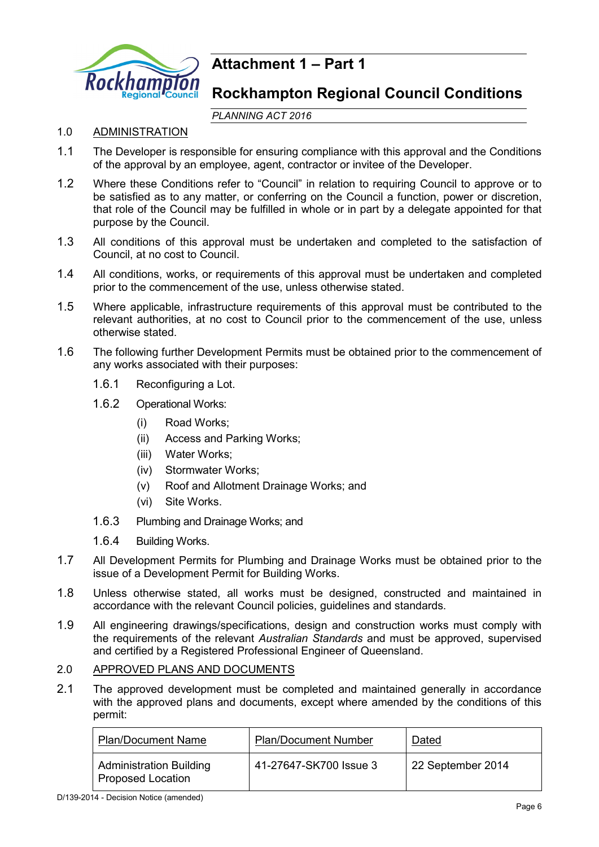

# **Attachment 1 – Part 1**

# **Rockhampton Regional Council Conditions**

*PLANNING ACT 2016*

# 1.0 ADMINISTRATION

- 1.1 The Developer is responsible for ensuring compliance with this approval and the Conditions of the approval by an employee, agent, contractor or invitee of the Developer.
- 1.2 Where these Conditions refer to "Council" in relation to requiring Council to approve or to be satisfied as to any matter, or conferring on the Council a function, power or discretion, that role of the Council may be fulfilled in whole or in part by a delegate appointed for that purpose by the Council.
- 1.3 All conditions of this approval must be undertaken and completed to the satisfaction of Council, at no cost to Council.
- 1.4 All conditions, works, or requirements of this approval must be undertaken and completed prior to the commencement of the use, unless otherwise stated.
- 1.5 Where applicable, infrastructure requirements of this approval must be contributed to the relevant authorities, at no cost to Council prior to the commencement of the use, unless otherwise stated.
- 1.6 The following further Development Permits must be obtained prior to the commencement of any works associated with their purposes:
	- 1.6.1 Reconfiguring a Lot.
	- 1.6.2 Operational Works:
		- (i) Road Works;
		- (ii) Access and Parking Works;
		- (iii) Water Works;
		- (iv) Stormwater Works;
		- (v) Roof and Allotment Drainage Works; and
		- (vi) Site Works.
	- 1.6.3 Plumbing and Drainage Works; and
	- 1.6.4 Building Works.
- 1.7 All Development Permits for Plumbing and Drainage Works must be obtained prior to the issue of a Development Permit for Building Works.
- 1.8 Unless otherwise stated, all works must be designed, constructed and maintained in accordance with the relevant Council policies, guidelines and standards.
- 1.9 All engineering drawings/specifications, design and construction works must comply with the requirements of the relevant *Australian Standards* and must be approved, supervised and certified by a Registered Professional Engineer of Queensland.

# 2.0 APPROVED PLANS AND DOCUMENTS

2.1 The approved development must be completed and maintained generally in accordance with the approved plans and documents, except where amended by the conditions of this permit:

| <b>Plan/Document Name</b>                                  | <b>Plan/Document Number</b> | Dated             |
|------------------------------------------------------------|-----------------------------|-------------------|
| <b>Administration Building</b><br><b>Proposed Location</b> | 41-27647-SK700 Issue 3      | 22 September 2014 |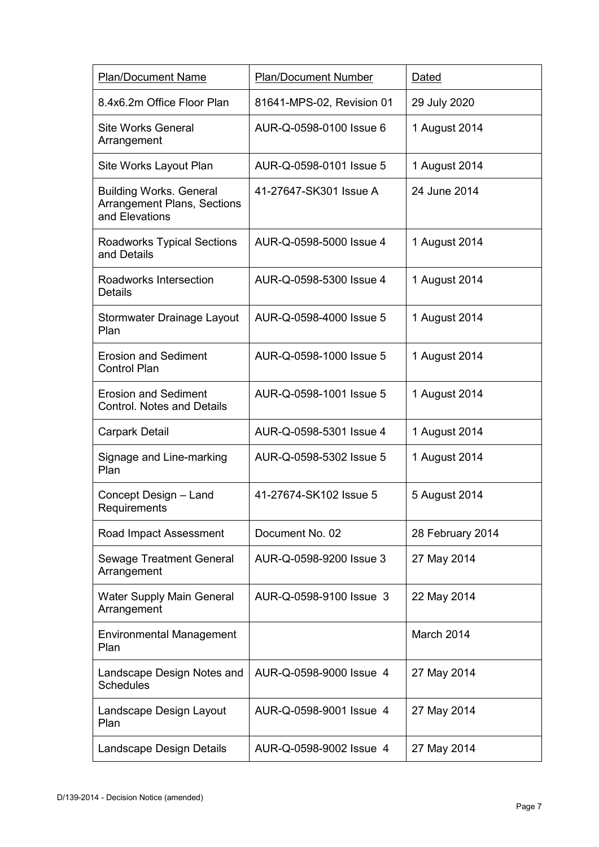| <b>Plan/Document Name</b>                                                              | <b>Plan/Document Number</b> | Dated            |
|----------------------------------------------------------------------------------------|-----------------------------|------------------|
| 8.4x6.2m Office Floor Plan                                                             | 81641-MPS-02, Revision 01   | 29 July 2020     |
| Site Works General<br>Arrangement                                                      | AUR-Q-0598-0100 Issue 6     | 1 August 2014    |
| Site Works Layout Plan                                                                 | AUR-Q-0598-0101 Issue 5     | 1 August 2014    |
| <b>Building Works. General</b><br><b>Arrangement Plans, Sections</b><br>and Elevations | 41-27647-SK301 Issue A      | 24 June 2014     |
| <b>Roadworks Typical Sections</b><br>and Details                                       | AUR-Q-0598-5000 Issue 4     | 1 August 2014    |
| Roadworks Intersection<br><b>Details</b>                                               | AUR-Q-0598-5300 Issue 4     | 1 August 2014    |
| Stormwater Drainage Layout<br>Plan                                                     | AUR-Q-0598-4000 Issue 5     | 1 August 2014    |
| <b>Erosion and Sediment</b><br><b>Control Plan</b>                                     | AUR-Q-0598-1000 Issue 5     | 1 August 2014    |
| <b>Erosion and Sediment</b><br><b>Control. Notes and Details</b>                       | AUR-Q-0598-1001 Issue 5     | 1 August 2014    |
| <b>Carpark Detail</b>                                                                  | AUR-Q-0598-5301 Issue 4     | 1 August 2014    |
| Signage and Line-marking<br>Plan                                                       | AUR-Q-0598-5302 Issue 5     | 1 August 2014    |
| Concept Design - Land<br>Requirements                                                  | 41-27674-SK102 Issue 5      | 5 August 2014    |
| Road Impact Assessment                                                                 | Document No. 02             | 28 February 2014 |
| <b>Sewage Treatment General</b><br>Arrangement                                         | AUR-Q-0598-9200 Issue 3     | 27 May 2014      |
| <b>Water Supply Main General</b><br>Arrangement                                        | AUR-Q-0598-9100 Issue 3     | 22 May 2014      |
| <b>Environmental Management</b><br>Plan                                                |                             | March 2014       |
| Landscape Design Notes and<br><b>Schedules</b>                                         | AUR-Q-0598-9000 Issue 4     | 27 May 2014      |
| Landscape Design Layout<br>Plan                                                        | AUR-Q-0598-9001 Issue 4     | 27 May 2014      |
| Landscape Design Details                                                               | AUR-Q-0598-9002 Issue 4     | 27 May 2014      |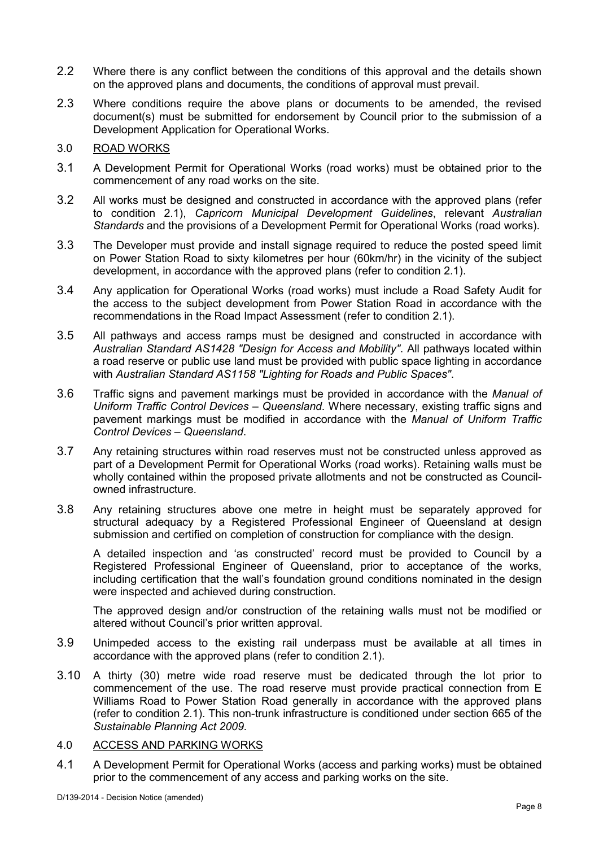- 2.2 Where there is any conflict between the conditions of this approval and the details shown on the approved plans and documents, the conditions of approval must prevail.
- 2.3 Where conditions require the above plans or documents to be amended, the revised document(s) must be submitted for endorsement by Council prior to the submission of a Development Application for Operational Works.

### 3.0 ROAD WORKS

- 3.1 A Development Permit for Operational Works (road works) must be obtained prior to the commencement of any road works on the site.
- 3.2 All works must be designed and constructed in accordance with the approved plans (refer to condition 2.1), *Capricorn Municipal Development Guidelines*, relevant *Australian Standards* and the provisions of a Development Permit for Operational Works (road works).
- 3.3 The Developer must provide and install signage required to reduce the posted speed limit on Power Station Road to sixty kilometres per hour (60km/hr) in the vicinity of the subject development, in accordance with the approved plans (refer to condition 2.1).
- 3.4 Any application for Operational Works (road works) must include a Road Safety Audit for the access to the subject development from Power Station Road in accordance with the recommendations in the Road Impact Assessment (refer to condition 2.1).
- 3.5 All pathways and access ramps must be designed and constructed in accordance with *Australian Standard AS1428 "Design for Access and Mobility"*. All pathways located within a road reserve or public use land must be provided with public space lighting in accordance with *Australian Standard AS1158 "Lighting for Roads and Public Spaces"*.
- 3.6 Traffic signs and pavement markings must be provided in accordance with the *Manual of Uniform Traffic Control Devices – Queensland*. Where necessary, existing traffic signs and pavement markings must be modified in accordance with the *Manual of Uniform Traffic Control Devices – Queensland*.
- 3.7 Any retaining structures within road reserves must not be constructed unless approved as part of a Development Permit for Operational Works (road works). Retaining walls must be wholly contained within the proposed private allotments and not be constructed as Councilowned infrastructure.
- 3.8 Any retaining structures above one metre in height must be separately approved for structural adequacy by a Registered Professional Engineer of Queensland at design submission and certified on completion of construction for compliance with the design.

A detailed inspection and 'as constructed' record must be provided to Council by a Registered Professional Engineer of Queensland, prior to acceptance of the works, including certification that the wall's foundation ground conditions nominated in the design were inspected and achieved during construction.

The approved design and/or construction of the retaining walls must not be modified or altered without Council's prior written approval.

- 3.9 Unimpeded access to the existing rail underpass must be available at all times in accordance with the approved plans (refer to condition 2.1).
- 3.10 A thirty (30) metre wide road reserve must be dedicated through the lot prior to commencement of the use. The road reserve must provide practical connection from E Williams Road to Power Station Road generally in accordance with the approved plans (refer to condition 2.1). This non-trunk infrastructure is conditioned under section 665 of the *Sustainable Planning Act 2009.*

# 4.0 ACCESS AND PARKING WORKS

4.1 A Development Permit for Operational Works (access and parking works) must be obtained prior to the commencement of any access and parking works on the site.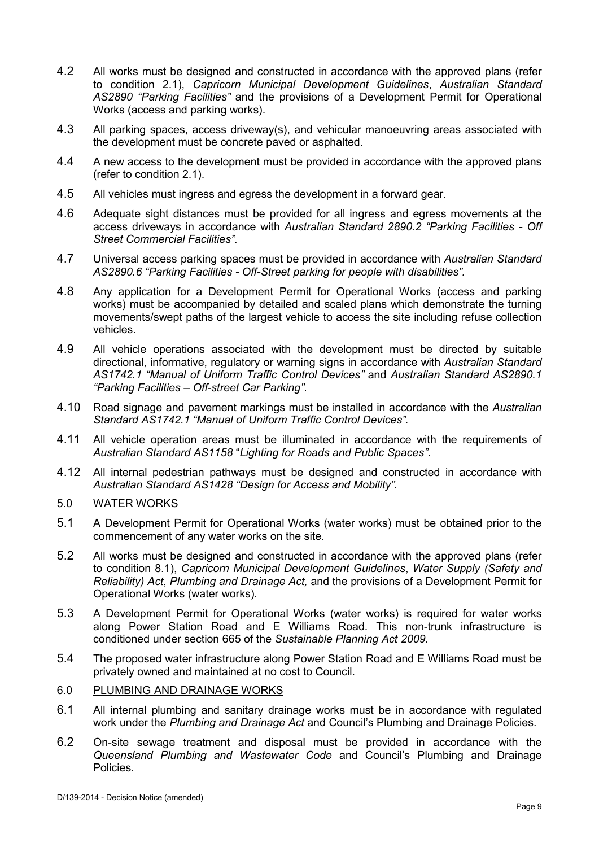- 4.2 All works must be designed and constructed in accordance with the approved plans (refer to condition 2.1), *Capricorn Municipal Development Guidelines*, *Australian Standard AS2890 "Parking Facilities"* and the provisions of a Development Permit for Operational Works (access and parking works).
- 4.3 All parking spaces, access driveway(s), and vehicular manoeuvring areas associated with the development must be concrete paved or asphalted.
- 4.4 A new access to the development must be provided in accordance with the approved plans (refer to condition 2.1).
- 4.5 All vehicles must ingress and egress the development in a forward gear.
- 4.6 Adequate sight distances must be provided for all ingress and egress movements at the access driveways in accordance with *Australian Standard 2890.2 "Parking Facilities - Off Street Commercial Facilities"*.
- 4.7 Universal access parking spaces must be provided in accordance with *Australian Standard AS2890.6 "Parking Facilities - Off-Street parking for people with disabilities".*
- 4.8 Any application for a Development Permit for Operational Works (access and parking works) must be accompanied by detailed and scaled plans which demonstrate the turning movements/swept paths of the largest vehicle to access the site including refuse collection vehicles.
- 4.9 All vehicle operations associated with the development must be directed by suitable directional, informative, regulatory or warning signs in accordance with *Australian Standard AS1742.1 "Manual of Uniform Traffic Control Devices"* and *Australian Standard AS2890.1 "Parking Facilities – Off-street Car Parking"*.
- 4.10 Road signage and pavement markings must be installed in accordance with the *Australian Standard AS1742.1 "Manual of Uniform Traffic Control Devices".*
- 4.11 All vehicle operation areas must be illuminated in accordance with the requirements of *Australian Standard AS1158* "*Lighting for Roads and Public Spaces"*.
- 4.12 All internal pedestrian pathways must be designed and constructed in accordance with *Australian Standard AS1428 "Design for Access and Mobility"*.

### 5.0 WATER WORKS

- 5.1 A Development Permit for Operational Works (water works) must be obtained prior to the commencement of any water works on the site.
- 5.2 All works must be designed and constructed in accordance with the approved plans (refer to condition 8.1), *Capricorn Municipal Development Guidelines*, *Water Supply (Safety and Reliability) Act*, *Plumbing and Drainage Act,* and the provisions of a Development Permit for Operational Works (water works).
- 5.3 A Development Permit for Operational Works (water works) is required for water works along Power Station Road and E Williams Road. This non-trunk infrastructure is conditioned under section 665 of the *Sustainable Planning Act 2009*.
- 5.4 The proposed water infrastructure along Power Station Road and E Williams Road must be privately owned and maintained at no cost to Council.
- 6.0 PLUMBING AND DRAINAGE WORKS
- 6.1 All internal plumbing and sanitary drainage works must be in accordance with regulated work under the *Plumbing and Drainage Act* and Council's Plumbing and Drainage Policies.
- 6.2 On-site sewage treatment and disposal must be provided in accordance with the *Queensland Plumbing and Wastewater Code* and Council's Plumbing and Drainage Policies.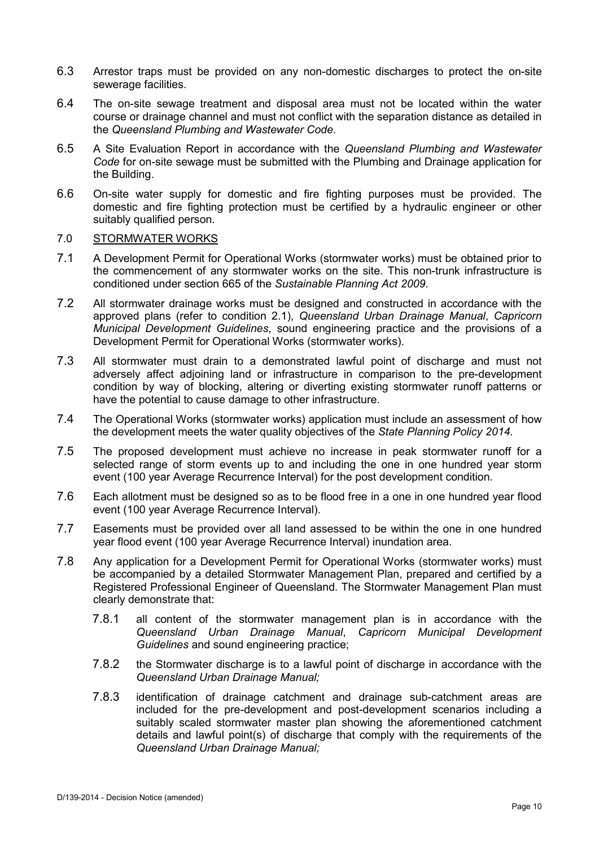- 6.3 Arrestor traps must be provided on any non-domestic discharges to protect the on-site sewerage facilities.
- 6.4 The on-site sewage treatment and disposal area must not be located within the water course or drainage channel and must not conflict with the separation distance as detailed in the *Queensland Plumbing and Wastewater Code*.
- 6.5 A Site Evaluation Report in accordance with the *Queensland Plumbing and Wastewater Code* for on-site sewage must be submitted with the Plumbing and Drainage application for the Building.
- 6.6 On-site water supply for domestic and fire fighting purposes must be provided. The domestic and fire fighting protection must be certified by a hydraulic engineer or other suitably qualified person.

### 7.0 STORMWATER WORKS

- 7.1 A Development Permit for Operational Works (stormwater works) must be obtained prior to the commencement of any stormwater works on the site. This non-trunk infrastructure is conditioned under section 665 of the *Sustainable Planning Act 2009*.
- 7.2 All stormwater drainage works must be designed and constructed in accordance with the approved plans (refer to condition 2.1), *Queensland Urban Drainage Manual*, *Capricorn Municipal Development Guidelines*, sound engineering practice and the provisions of a Development Permit for Operational Works (stormwater works).
- 7.3 All stormwater must drain to a demonstrated lawful point of discharge and must not adversely affect adjoining land or infrastructure in comparison to the pre-development condition by way of blocking, altering or diverting existing stormwater runoff patterns or have the potential to cause damage to other infrastructure.
- 7.4 The Operational Works (stormwater works) application must include an assessment of how the development meets the water quality objectives of the *State Planning Policy 2014.*
- 7.5 The proposed development must achieve no increase in peak stormwater runoff for a selected range of storm events up to and including the one in one hundred year storm event (100 year Average Recurrence Interval) for the post development condition.
- 7.6 Each allotment must be designed so as to be flood free in a one in one hundred year flood event (100 year Average Recurrence Interval).
- 7.7 Easements must be provided over all land assessed to be within the one in one hundred year flood event (100 year Average Recurrence Interval) inundation area.
- 7.8 Any application for a Development Permit for Operational Works (stormwater works) must be accompanied by a detailed Stormwater Management Plan, prepared and certified by a Registered Professional Engineer of Queensland. The Stormwater Management Plan must clearly demonstrate that:
	- 7.8.1 all content of the stormwater management plan is in accordance with the *Queensland Urban Drainage Manual*, *Capricorn Municipal Development Guidelines* and sound engineering practice;
	- 7.8.2 the Stormwater discharge is to a lawful point of discharge in accordance with the *Queensland Urban Drainage Manual;*
	- 7.8.3 identification of drainage catchment and drainage sub-catchment areas are included for the pre-development and post-development scenarios including a suitably scaled stormwater master plan showing the aforementioned catchment details and lawful point(s) of discharge that comply with the requirements of the *Queensland Urban Drainage Manual;*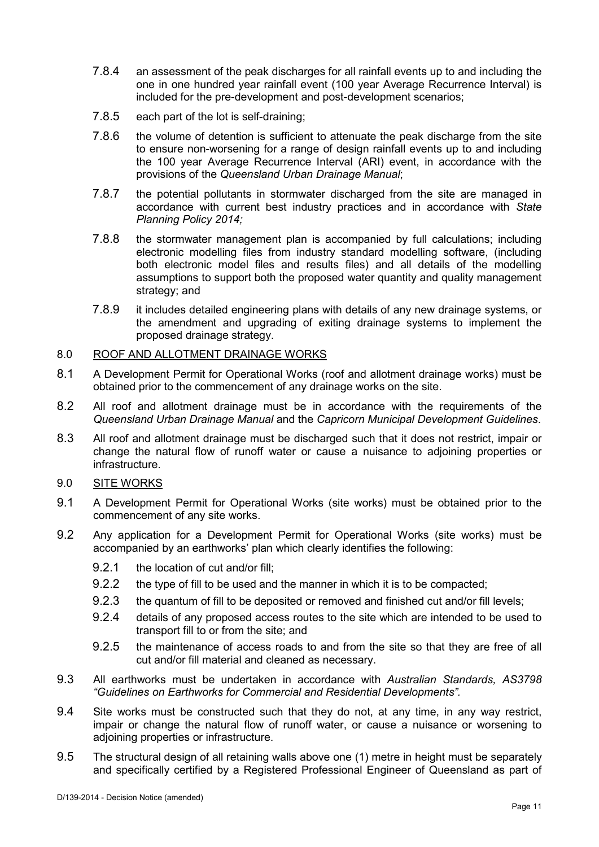- 7.8.4 an assessment of the peak discharges for all rainfall events up to and including the one in one hundred year rainfall event (100 year Average Recurrence Interval) is included for the pre-development and post-development scenarios;
- 7.8.5 each part of the lot is self-draining;
- 7.8.6 the volume of detention is sufficient to attenuate the peak discharge from the site to ensure non-worsening for a range of design rainfall events up to and including the 100 year Average Recurrence Interval (ARI) event, in accordance with the provisions of the *Queensland Urban Drainage Manual*;
- 7.8.7 the potential pollutants in stormwater discharged from the site are managed in accordance with current best industry practices and in accordance with *State Planning Policy 2014;*
- 7.8.8 the stormwater management plan is accompanied by full calculations; including electronic modelling files from industry standard modelling software, (including both electronic model files and results files) and all details of the modelling assumptions to support both the proposed water quantity and quality management strategy; and
- 7.8.9 it includes detailed engineering plans with details of any new drainage systems, or the amendment and upgrading of exiting drainage systems to implement the proposed drainage strategy.

# 8.0 ROOF AND ALLOTMENT DRAINAGE WORKS

- 8.1 A Development Permit for Operational Works (roof and allotment drainage works) must be obtained prior to the commencement of any drainage works on the site.
- 8.2 All roof and allotment drainage must be in accordance with the requirements of the *Queensland Urban Drainage Manual* and the *Capricorn Municipal Development Guidelines*.
- 8.3 All roof and allotment drainage must be discharged such that it does not restrict, impair or change the natural flow of runoff water or cause a nuisance to adjoining properties or infrastructure.
- 9.0 SITE WORKS
- 9.1 A Development Permit for Operational Works (site works) must be obtained prior to the commencement of any site works.
- 9.2 Any application for a Development Permit for Operational Works (site works) must be accompanied by an earthworks' plan which clearly identifies the following:
	- 9.2.1 the location of cut and/or fill;
	- 9.2.2 the type of fill to be used and the manner in which it is to be compacted;
	- 9.2.3 the quantum of fill to be deposited or removed and finished cut and/or fill levels;
	- 9.2.4 details of any proposed access routes to the site which are intended to be used to transport fill to or from the site; and
	- 9.2.5 the maintenance of access roads to and from the site so that they are free of all cut and/or fill material and cleaned as necessary.
- 9.3 All earthworks must be undertaken in accordance with *Australian Standards, AS3798 "Guidelines on Earthworks for Commercial and Residential Developments".*
- 9.4 Site works must be constructed such that they do not, at any time, in any way restrict, impair or change the natural flow of runoff water, or cause a nuisance or worsening to adjoining properties or infrastructure.
- 9.5 The structural design of all retaining walls above one (1) metre in height must be separately and specifically certified by a Registered Professional Engineer of Queensland as part of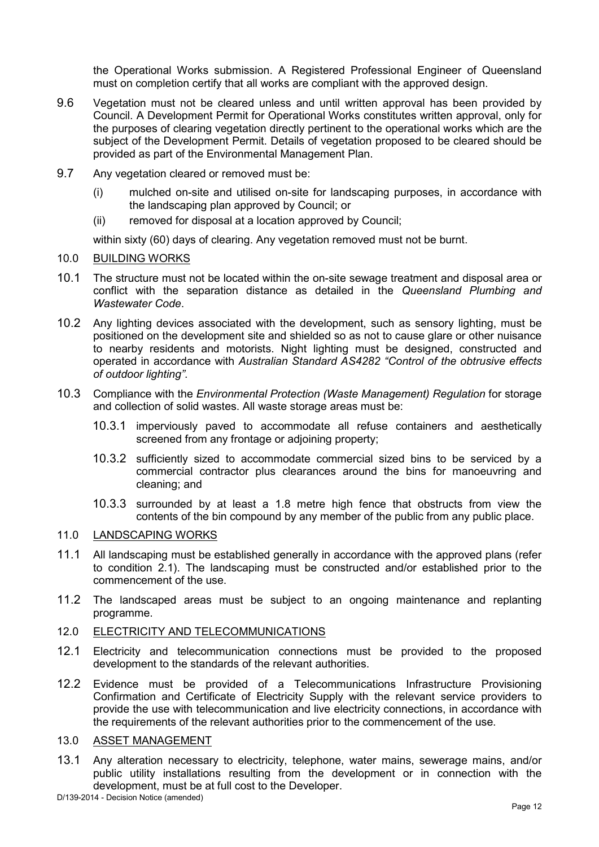the Operational Works submission. A Registered Professional Engineer of Queensland must on completion certify that all works are compliant with the approved design.

- 9.6 Vegetation must not be cleared unless and until written approval has been provided by Council. A Development Permit for Operational Works constitutes written approval, only for the purposes of clearing vegetation directly pertinent to the operational works which are the subject of the Development Permit. Details of vegetation proposed to be cleared should be provided as part of the Environmental Management Plan.
- 9.7 Any vegetation cleared or removed must be:
	- (i) mulched on-site and utilised on-site for landscaping purposes, in accordance with the landscaping plan approved by Council; or
	- (ii) removed for disposal at a location approved by Council;

within sixty (60) days of clearing. Any vegetation removed must not be burnt.

- 10.0 BUILDING WORKS
- 10.1 The structure must not be located within the on-site sewage treatment and disposal area or conflict with the separation distance as detailed in the *Queensland Plumbing and Wastewater Code*.
- 10.2 Any lighting devices associated with the development, such as sensory lighting, must be positioned on the development site and shielded so as not to cause glare or other nuisance to nearby residents and motorists. Night lighting must be designed, constructed and operated in accordance with *Australian Standard AS4282 "Control of the obtrusive effects of outdoor lighting"*.
- 10.3 Compliance with the *Environmental Protection (Waste Management) Regulation* for storage and collection of solid wastes. All waste storage areas must be:
	- 10.3.1 imperviously paved to accommodate all refuse containers and aesthetically screened from any frontage or adjoining property;
	- 10.3.2 sufficiently sized to accommodate commercial sized bins to be serviced by a commercial contractor plus clearances around the bins for manoeuvring and cleaning; and
	- 10.3.3 surrounded by at least a 1.8 metre high fence that obstructs from view the contents of the bin compound by any member of the public from any public place.

# 11.0 LANDSCAPING WORKS

- 11.1 All landscaping must be established generally in accordance with the approved plans (refer to condition 2.1). The landscaping must be constructed and/or established prior to the commencement of the use.
- 11.2 The landscaped areas must be subject to an ongoing maintenance and replanting programme.

#### 12.0 ELECTRICITY AND TELECOMMUNICATIONS

- 12.1 Electricity and telecommunication connections must be provided to the proposed development to the standards of the relevant authorities.
- 12.2 Evidence must be provided of a Telecommunications Infrastructure Provisioning Confirmation and Certificate of Electricity Supply with the relevant service providers to provide the use with telecommunication and live electricity connections, in accordance with the requirements of the relevant authorities prior to the commencement of the use.

#### 13.0 ASSET MANAGEMENT

13.1 Any alteration necessary to electricity, telephone, water mains, sewerage mains, and/or public utility installations resulting from the development or in connection with the development, must be at full cost to the Developer.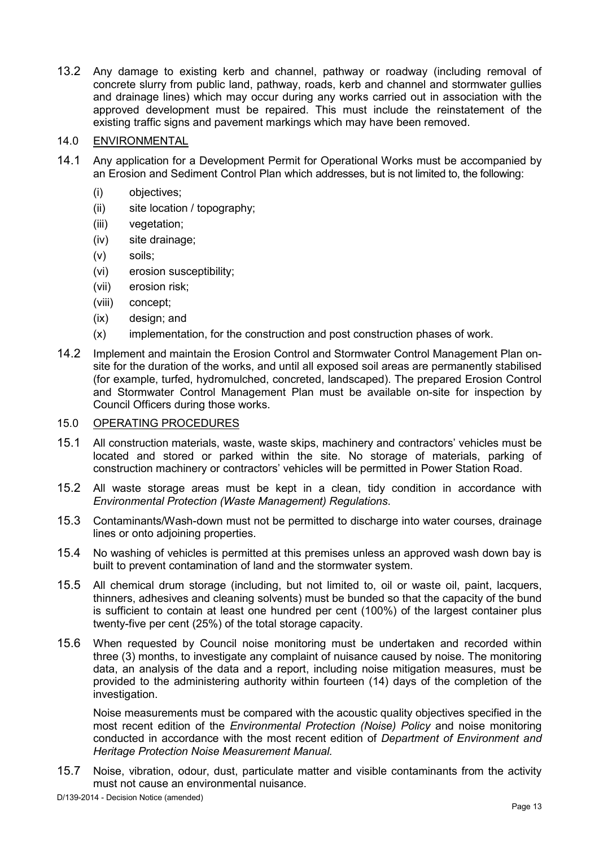13.2 Any damage to existing kerb and channel, pathway or roadway (including removal of concrete slurry from public land, pathway, roads, kerb and channel and stormwater gullies and drainage lines) which may occur during any works carried out in association with the approved development must be repaired. This must include the reinstatement of the existing traffic signs and pavement markings which may have been removed.

# 14.0 ENVIRONMENTAL

- 14.1 Any application for a Development Permit for Operational Works must be accompanied by an Erosion and Sediment Control Plan which addresses, but is not limited to, the following:
	- (i) objectives;
	- (ii) site location / topography;
	- (iii) vegetation;
	- (iv) site drainage;
	- (v) soils;
	- (vi) erosion susceptibility;
	- (vii) erosion risk;
	- (viii) concept;
	- (ix) design; and
	- (x) implementation, for the construction and post construction phases of work.
- 14.2 Implement and maintain the Erosion Control and Stormwater Control Management Plan onsite for the duration of the works, and until all exposed soil areas are permanently stabilised (for example, turfed, hydromulched, concreted, landscaped). The prepared Erosion Control and Stormwater Control Management Plan must be available on-site for inspection by Council Officers during those works.

#### 15.0 OPERATING PROCEDURES

- 15.1 All construction materials, waste, waste skips, machinery and contractors' vehicles must be located and stored or parked within the site. No storage of materials, parking of construction machinery or contractors' vehicles will be permitted in Power Station Road.
- 15.2 All waste storage areas must be kept in a clean, tidy condition in accordance with *Environmental Protection (Waste Management) Regulations*.
- 15.3 Contaminants/Wash-down must not be permitted to discharge into water courses, drainage lines or onto adjoining properties.
- 15.4 No washing of vehicles is permitted at this premises unless an approved wash down bay is built to prevent contamination of land and the stormwater system.
- 15.5 All chemical drum storage (including, but not limited to, oil or waste oil, paint, lacquers, thinners, adhesives and cleaning solvents) must be bunded so that the capacity of the bund is sufficient to contain at least one hundred per cent (100%) of the largest container plus twenty-five per cent (25%) of the total storage capacity.
- 15.6 When requested by Council noise monitoring must be undertaken and recorded within three (3) months, to investigate any complaint of nuisance caused by noise. The monitoring data, an analysis of the data and a report, including noise mitigation measures, must be provided to the administering authority within fourteen (14) days of the completion of the investigation.

Noise measurements must be compared with the acoustic quality objectives specified in the most recent edition of the *Environmental Protection (Noise) Policy* and noise monitoring conducted in accordance with the most recent edition of *Department of Environment and Heritage Protection Noise Measurement Manual.*

15.7 Noise, vibration, odour, dust, particulate matter and visible contaminants from the activity must not cause an environmental nuisance.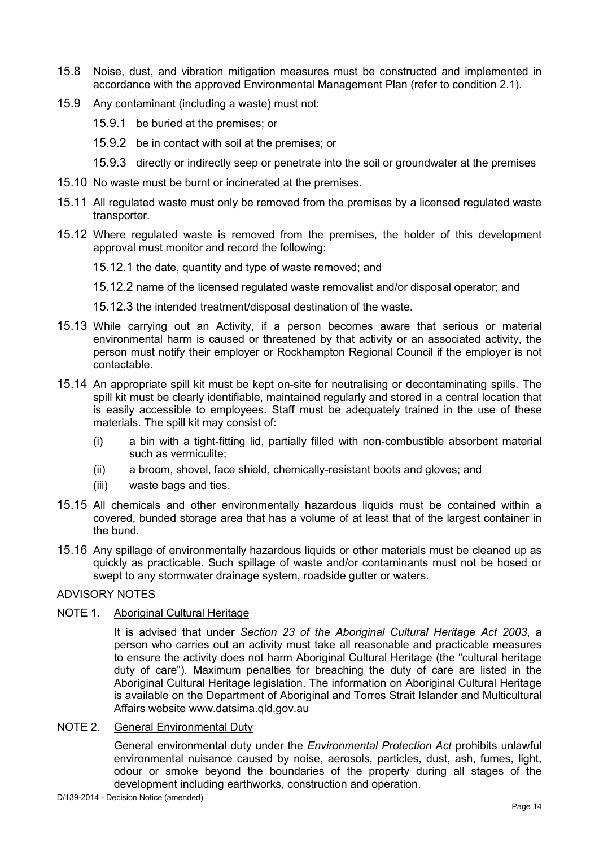- 15.8 Noise, dust, and vibration mitigation measures must be constructed and implemented in accordance with the approved Environmental Management Plan (refer to condition 2.1).
- 15.9 Any contaminant (including a waste) must not:
	- 15.9.1 be buried at the premises; or
	- 15.9.2 be in contact with soil at the premises; or
	- 15.9.3 directly or indirectly seep or penetrate into the soil or groundwater at the premises
- 15.10 No waste must be burnt or incinerated at the premises.
- 15.11 All regulated waste must only be removed from the premises by a licensed regulated waste transporter.
- 15.12 Where regulated waste is removed from the premises, the holder of this development approval must monitor and record the following:

15.12.1 the date, quantity and type of waste removed; and

15.12.2 name of the licensed regulated waste removalist and/or disposal operator; and

- 15.12.3 the intended treatment/disposal destination of the waste.
- 15.13 While carrying out an Activity, if a person becomes aware that serious or material environmental harm is caused or threatened by that activity or an associated activity, the person must notify their employer or Rockhampton Regional Council if the employer is not contactable.
- 15.14 An appropriate spill kit must be kept on-site for neutralising or decontaminating spills. The spill kit must be clearly identifiable, maintained regularly and stored in a central location that is easily accessible to employees. Staff must be adequately trained in the use of these materials. The spill kit may consist of:
	- (i) a bin with a tight-fitting lid, partially filled with non-combustible absorbent material such as vermiculite;
	- (ii) a broom, shovel, face shield, chemically-resistant boots and gloves; and
	- (iii) waste bags and ties.
- 15.15 All chemicals and other environmentally hazardous liquids must be contained within a covered, bunded storage area that has a volume of at least that of the largest container in the bund.
- 15.16 Any spillage of environmentally hazardous liquids or other materials must be cleaned up as quickly as practicable. Such spillage of waste and/or contaminants must not be hosed or swept to any stormwater drainage system, roadside gutter or waters.

# ADVISORY NOTES

#### NOTE 1. Aboriginal Cultural Heritage

It is advised that under *Section 23 of the Aboriginal Cultural Heritage Act 2003*, a person who carries out an activity must take all reasonable and practicable measures to ensure the activity does not harm Aboriginal Cultural Heritage (the "cultural heritage duty of care"). Maximum penalties for breaching the duty of care are listed in the Aboriginal Cultural Heritage legislation. The information on Aboriginal Cultural Heritage is available on the Department of Aboriginal and Torres Strait Islander and Multicultural Affairs website www.datsima.qld.gov.au

# NOTE 2. General Environmental Duty

General environmental duty under the *Environmental Protection Act* prohibits unlawful environmental nuisance caused by noise, aerosols, particles, dust, ash, fumes, light, odour or smoke beyond the boundaries of the property during all stages of the development including earthworks, construction and operation.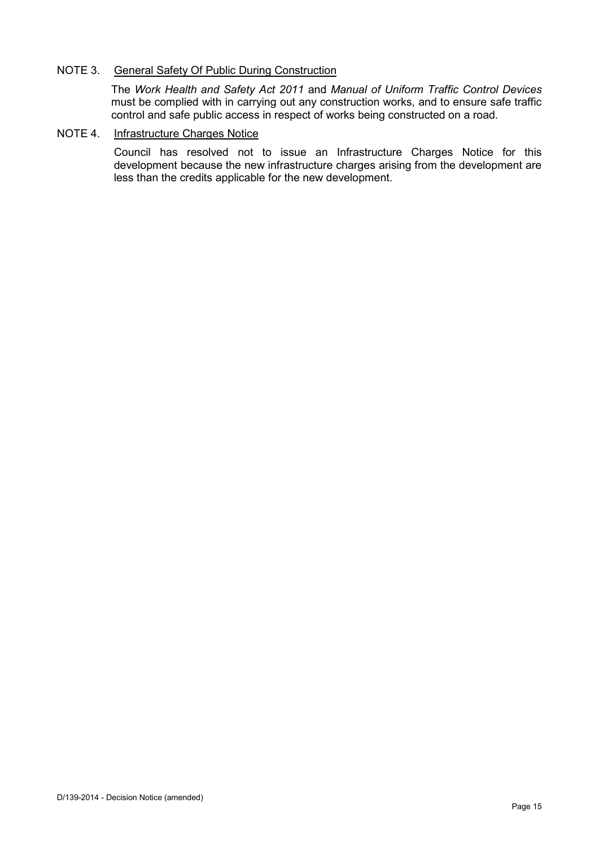### NOTE 3. General Safety Of Public During Construction

The *Work Health and Safety Act 2011* and *Manual of Uniform Traffic Control Devices* must be complied with in carrying out any construction works, and to ensure safe traffic control and safe public access in respect of works being constructed on a road.

#### NOTE 4. Infrastructure Charges Notice

Council has resolved not to issue an Infrastructure Charges Notice for this development because the new infrastructure charges arising from the development are less than the credits applicable for the new development.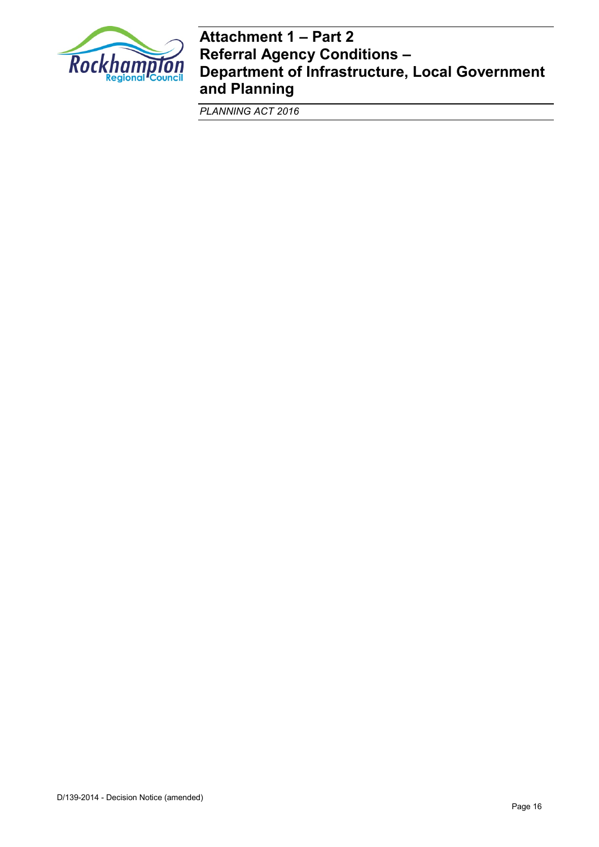

# **Attachment 1 – Part 2 Referral Agency Conditions – Department of Infrastructure, Local Government and Planning**

*PLANNING ACT 2016*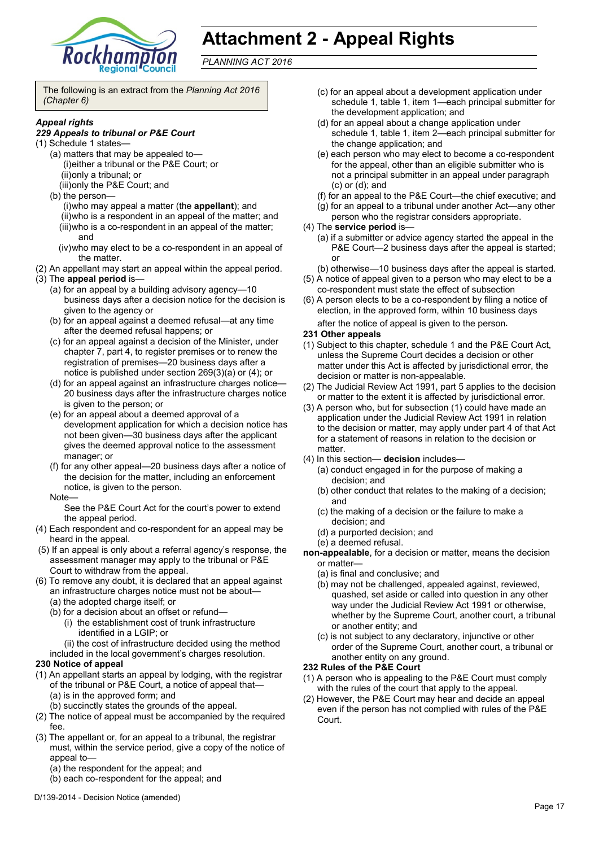

# **Attachment 2 - Appeal Rights**

*PLANNING ACT 2016*

The following is an extract from the *Planning Act 2016 (Chapter 6)*

#### *Appeal rights*

#### *229 Appeals to tribunal or P&E Court*

- (1) Schedule 1 states—
	- (a) matters that may be appealed to— (i)either a tribunal or the P&E Court; or (ii)only a tribunal; or
		- (iii)only the P&E Court; and
	- (b) the person—

(i)who may appeal a matter (the **appellant**); and (ii)who is a respondent in an appeal of the matter; and (iii)who is a co-respondent in an appeal of the matter; and

- (iv)who may elect to be a co-respondent in an appeal of the matter.
- (2) An appellant may start an appeal within the appeal period.
- (3) The **appeal period** is—
	- (a) for an appeal by a building advisory agency—10 business days after a decision notice for the decision is given to the agency or
	- (b) for an appeal against a deemed refusal—at any time after the deemed refusal happens; or
	- (c) for an appeal against a decision of the Minister, under chapter 7, part 4, to register premises or to renew the registration of premises—20 business days after a notice is published under section 269(3)(a) or (4); or
	- (d) for an appeal against an infrastructure charges notice— 20 business days after the infrastructure charges notice is given to the person; or
	- (e) for an appeal about a deemed approval of a development application for which a decision notice has not been given—30 business days after the applicant gives the deemed approval notice to the assessment manager; or
	- (f) for any other appeal—20 business days after a notice of the decision for the matter, including an enforcement notice, is given to the person.
	- Note—

See the P&E Court Act for the court's power to extend the appeal period.

- (4) Each respondent and co-respondent for an appeal may be heard in the appeal.
- (5) If an appeal is only about a referral agency's response, the assessment manager may apply to the tribunal or P&E Court to withdraw from the appeal.
- (6) To remove any doubt, it is declared that an appeal against an infrastructure charges notice must not be about—
	- (a) the adopted charge itself; or
	- (b) for a decision about an offset or refund—
		- (i) the establishment cost of trunk infrastructure identified in a LGIP; or
		- (ii) the cost of infrastructure decided using the method
	- included in the local government's charges resolution.

#### **230 Notice of appeal**

- (1) An appellant starts an appeal by lodging, with the registrar of the tribunal or P&E Court, a notice of appeal that— (a) is in the approved form; and
	- (b) succinctly states the grounds of the appeal.
- (2) The notice of appeal must be accompanied by the required fee.
- (3) The appellant or, for an appeal to a tribunal, the registrar must, within the service period, give a copy of the notice of appeal to—
	- (a) the respondent for the appeal; and
	- (b) each co-respondent for the appeal; and
- (c) for an appeal about a development application under schedule 1, table 1, item 1—each principal submitter for the development application; and
- (d) for an appeal about a change application under schedule 1, table 1, item 2—each principal submitter for the change application; and
- (e) each person who may elect to become a co-respondent for the appeal, other than an eligible submitter who is not a principal submitter in an appeal under paragraph (c) or (d); and
- (f) for an appeal to the P&E Court—the chief executive; and
- (g) for an appeal to a tribunal under another Act—any other
- person who the registrar considers appropriate.
- (4) The **service period** is—
	- (a) if a submitter or advice agency started the appeal in the P&E Court—2 business days after the appeal is started; or
	- (b) otherwise—10 business days after the appeal is started.
- (5) A notice of appeal given to a person who may elect to be a co-respondent must state the effect of subsection
- (6) A person elects to be a co-respondent by filing a notice of election, in the approved form, within 10 business days after the notice of appeal is given to the person*.*

#### **231 Other appeals**

- (1) Subject to this chapter, schedule 1 and the P&E Court Act, unless the Supreme Court decides a decision or other matter under this Act is affected by jurisdictional error, the decision or matter is non-appealable.
- (2) The Judicial Review Act 1991, part 5 applies to the decision or matter to the extent it is affected by jurisdictional error.
- (3) A person who, but for subsection (1) could have made an application under the Judicial Review Act 1991 in relation to the decision or matter, may apply under part 4 of that Act for a statement of reasons in relation to the decision or matter.
- (4) In this section— **decision** includes—
	- (a) conduct engaged in for the purpose of making a decision; and
	- (b) other conduct that relates to the making of a decision; and
	- (c) the making of a decision or the failure to make a decision; and
	- (d) a purported decision; and
	- (e) a deemed refusal.
- **non-appealable**, for a decision or matter, means the decision or matter—
	- (a) is final and conclusive; and
	- (b) may not be challenged, appealed against, reviewed, quashed, set aside or called into question in any other way under the Judicial Review Act 1991 or otherwise, whether by the Supreme Court, another court, a tribunal or another entity; and
	- (c) is not subject to any declaratory, injunctive or other order of the Supreme Court, another court, a tribunal or another entity on any ground.

#### **232 Rules of the P&E Court**

- (1) A person who is appealing to the P&E Court must comply with the rules of the court that apply to the appeal.
- (2) However, the P&E Court may hear and decide an appeal even if the person has not complied with rules of the P&E Court.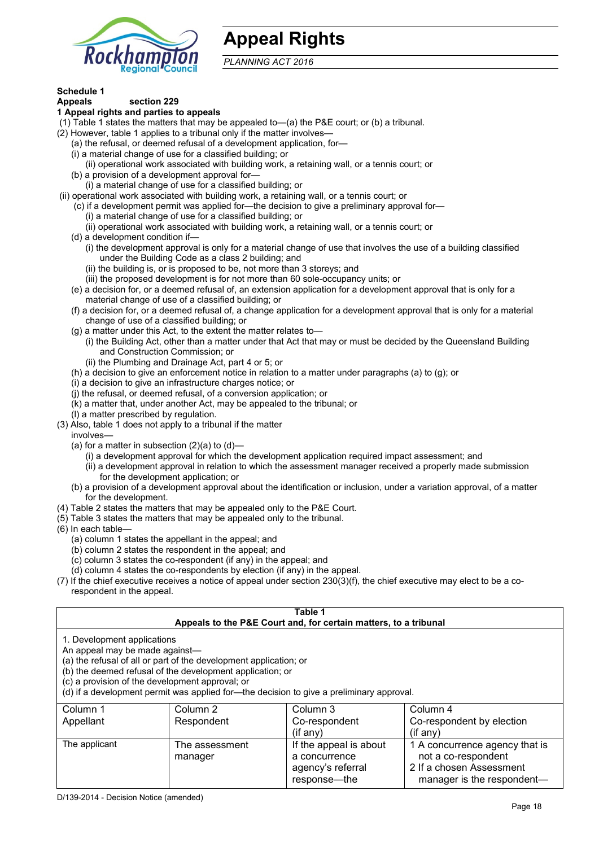

# **Appeal Rights**

*PLANNING ACT 2016*

# **Schedule 1**

#### **Appeals section 229 1 Appeal rights and parties to appeals**

- (1) Table 1 states the matters that may be appealed to—(a) the P&E court; or (b) a tribunal.
- (2) However, table 1 applies to a tribunal only if the matter involves—
	- (a) the refusal, or deemed refusal of a development application, for—
	- (i) a material change of use for a classified building; or
	- (ii) operational work associated with building work, a retaining wall, or a tennis court; or
	- (b) a provision of a development approval for—
	- (i) a material change of use for a classified building; or
- (ii) operational work associated with building work, a retaining wall, or a tennis court; or
	- (c) if a development permit was applied for—the decision to give a preliminary approval for—
		- (i) a material change of use for a classified building; or
		- (ii) operational work associated with building work, a retaining wall, or a tennis court; or
	- (d) a development condition if—
		- (i) the development approval is only for a material change of use that involves the use of a building classified under the Building Code as a class 2 building; and
		- (ii) the building is, or is proposed to be, not more than 3 storeys; and
		- (iii) the proposed development is for not more than 60 sole-occupancy units; or
	- (e) a decision for, or a deemed refusal of, an extension application for a development approval that is only for a material change of use of a classified building; or
	- (f) a decision for, or a deemed refusal of, a change application for a development approval that is only for a material change of use of a classified building; or
	- (g) a matter under this Act, to the extent the matter relates to—
		- (i) the Building Act, other than a matter under that Act that may or must be decided by the Queensland Building and Construction Commission; or
		- (ii) the Plumbing and Drainage Act, part 4 or 5; or
	- (h) a decision to give an enforcement notice in relation to a matter under paragraphs (a) to (g); or
	- (i) a decision to give an infrastructure charges notice; or
	- (j) the refusal, or deemed refusal, of a conversion application; or
	- (k) a matter that, under another Act, may be appealed to the tribunal; or
	- (l) a matter prescribed by regulation.
- (3) Also, table 1 does not apply to a tribunal if the matter
- involves—
	- (a) for a matter in subsection  $(2)(a)$  to  $(d)$ 
		- (i) a development approval for which the development application required impact assessment; and
		- (ii) a development approval in relation to which the assessment manager received a properly made submission for the development application; or
	- (b) a provision of a development approval about the identification or inclusion, under a variation approval, of a matter for the development.
- (4) Table 2 states the matters that may be appealed only to the P&E Court.
- (5) Table 3 states the matters that may be appealed only to the tribunal.
- (6) In each table—
	- (a) column 1 states the appellant in the appeal; and
	- (b) column 2 states the respondent in the appeal; and
	- (c) column 3 states the co-respondent (if any) in the appeal; and
	- (d) column 4 states the co-respondents by election (if any) in the appeal.
- (7) If the chief executive receives a notice of appeal under section 230(3)(f), the chief executive may elect to be a corespondent in the appeal.

| Table 1<br>Appeals to the P&E Court and, for certain matters, to a tribunal                                                                                                                                                                                                                                                                    |                           |                                                                              |                                                                                                                 |  |
|------------------------------------------------------------------------------------------------------------------------------------------------------------------------------------------------------------------------------------------------------------------------------------------------------------------------------------------------|---------------------------|------------------------------------------------------------------------------|-----------------------------------------------------------------------------------------------------------------|--|
| 1. Development applications<br>An appeal may be made against-<br>(a) the refusal of all or part of the development application; or<br>(b) the deemed refusal of the development application; or<br>(c) a provision of the development approval; or<br>(d) if a development permit was applied for-the decision to give a preliminary approval. |                           |                                                                              |                                                                                                                 |  |
| Column 1                                                                                                                                                                                                                                                                                                                                       | Column 2                  | Column 3                                                                     | Column 4                                                                                                        |  |
| Appellant                                                                                                                                                                                                                                                                                                                                      | Respondent                | Co-respondent<br>$($ if any $)$                                              | Co-respondent by election<br>$($ if any $)$                                                                     |  |
| The applicant                                                                                                                                                                                                                                                                                                                                  | The assessment<br>manager | If the appeal is about<br>a concurrence<br>agency's referral<br>response—the | 1 A concurrence agency that is<br>not a co-respondent<br>2 If a chosen Assessment<br>manager is the respondent- |  |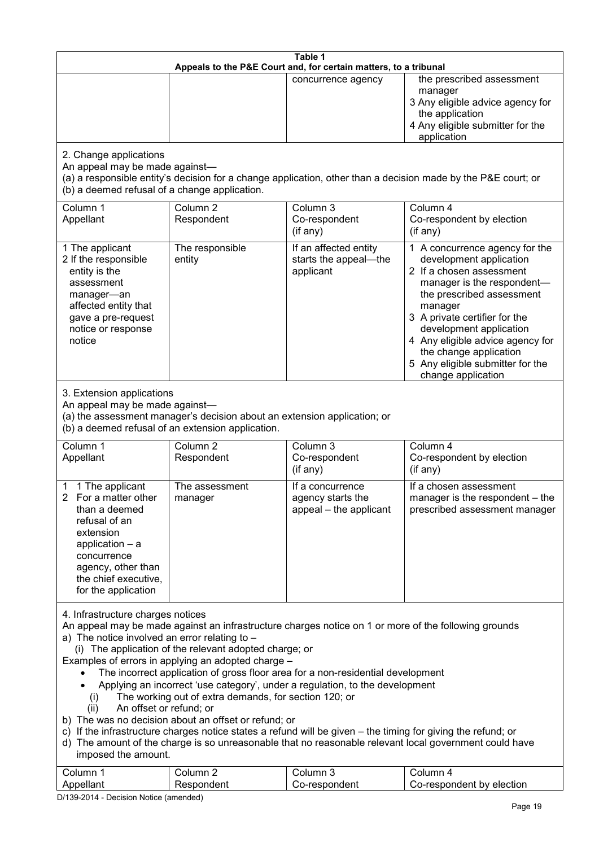| Table 1                                                                                                                                                                                                                                                                                                                                                                                                                                                                                                                                                                                                                                                                                                                                                                                                                                                                                                                                   |                                                                                                                               |                                                                 |                                                                                                                                                                                                                                                                                                                                                 |  |
|-------------------------------------------------------------------------------------------------------------------------------------------------------------------------------------------------------------------------------------------------------------------------------------------------------------------------------------------------------------------------------------------------------------------------------------------------------------------------------------------------------------------------------------------------------------------------------------------------------------------------------------------------------------------------------------------------------------------------------------------------------------------------------------------------------------------------------------------------------------------------------------------------------------------------------------------|-------------------------------------------------------------------------------------------------------------------------------|-----------------------------------------------------------------|-------------------------------------------------------------------------------------------------------------------------------------------------------------------------------------------------------------------------------------------------------------------------------------------------------------------------------------------------|--|
| Appeals to the P&E Court and, for certain matters, to a tribunal                                                                                                                                                                                                                                                                                                                                                                                                                                                                                                                                                                                                                                                                                                                                                                                                                                                                          |                                                                                                                               |                                                                 |                                                                                                                                                                                                                                                                                                                                                 |  |
|                                                                                                                                                                                                                                                                                                                                                                                                                                                                                                                                                                                                                                                                                                                                                                                                                                                                                                                                           |                                                                                                                               | concurrence agency                                              | the prescribed assessment<br>manager<br>3 Any eligible advice agency for<br>the application<br>4 Any eligible submitter for the<br>application                                                                                                                                                                                                  |  |
| 2. Change applications<br>An appeal may be made against-<br>(b) a deemed refusal of a change application.                                                                                                                                                                                                                                                                                                                                                                                                                                                                                                                                                                                                                                                                                                                                                                                                                                 |                                                                                                                               |                                                                 | (a) a responsible entity's decision for a change application, other than a decision made by the P&E court; or                                                                                                                                                                                                                                   |  |
| Column 1<br>Appellant                                                                                                                                                                                                                                                                                                                                                                                                                                                                                                                                                                                                                                                                                                                                                                                                                                                                                                                     | Column <sub>2</sub><br>Respondent                                                                                             | Column 3<br>Co-respondent<br>(if any)                           | Column 4<br>Co-respondent by election<br>(if any)                                                                                                                                                                                                                                                                                               |  |
| 1 The applicant<br>2 If the responsible<br>entity is the<br>assessment<br>manager-an<br>affected entity that<br>gave a pre-request<br>notice or response<br>notice                                                                                                                                                                                                                                                                                                                                                                                                                                                                                                                                                                                                                                                                                                                                                                        | The responsible<br>entity                                                                                                     | If an affected entity<br>starts the appeal-the<br>applicant     | 1 A concurrence agency for the<br>development application<br>2 If a chosen assessment<br>manager is the respondent-<br>the prescribed assessment<br>manager<br>3 A private certifier for the<br>development application<br>4 Any eligible advice agency for<br>the change application<br>5 Any eligible submitter for the<br>change application |  |
| 3. Extension applications<br>An appeal may be made against-                                                                                                                                                                                                                                                                                                                                                                                                                                                                                                                                                                                                                                                                                                                                                                                                                                                                               | (a) the assessment manager's decision about an extension application; or<br>(b) a deemed refusal of an extension application. |                                                                 |                                                                                                                                                                                                                                                                                                                                                 |  |
| Column 1<br>Appellant                                                                                                                                                                                                                                                                                                                                                                                                                                                                                                                                                                                                                                                                                                                                                                                                                                                                                                                     | Column <sub>2</sub><br>Respondent                                                                                             | Column 3<br>Co-respondent<br>(if any)                           | Column 4<br>Co-respondent by election<br>(if any)                                                                                                                                                                                                                                                                                               |  |
| 1 The applicant<br>2 For a matter other<br>than a deemed<br>refusal of an<br>extension<br>application $-$ a<br>concurrence<br>agency, other than<br>the chief executive,<br>for the application                                                                                                                                                                                                                                                                                                                                                                                                                                                                                                                                                                                                                                                                                                                                           | The assessment<br>manager                                                                                                     | If a concurrence<br>agency starts the<br>appeal - the applicant | If a chosen assessment<br>manager is the respondent - the<br>prescribed assessment manager                                                                                                                                                                                                                                                      |  |
| 4. Infrastructure charges notices<br>An appeal may be made against an infrastructure charges notice on 1 or more of the following grounds<br>a) The notice involved an error relating to -<br>(i) The application of the relevant adopted charge; or<br>Examples of errors in applying an adopted charge -<br>The incorrect application of gross floor area for a non-residential development<br>Applying an incorrect 'use category', under a regulation, to the development<br>The working out of extra demands, for section 120; or<br>(i)<br>An offset or refund; or<br>(ii)<br>b) The was no decision about an offset or refund; or<br>c) If the infrastructure charges notice states a refund will be given – the timing for giving the refund; or<br>d) The amount of the charge is so unreasonable that no reasonable relevant local government could have<br>imposed the amount.<br>Column 1<br>Column 2<br>Column 3<br>Column 4 |                                                                                                                               |                                                                 |                                                                                                                                                                                                                                                                                                                                                 |  |
| Appellant                                                                                                                                                                                                                                                                                                                                                                                                                                                                                                                                                                                                                                                                                                                                                                                                                                                                                                                                 | Respondent                                                                                                                    | Co-respondent                                                   | Co-respondent by election                                                                                                                                                                                                                                                                                                                       |  |

D/139-2014 - Decision Notice (amended)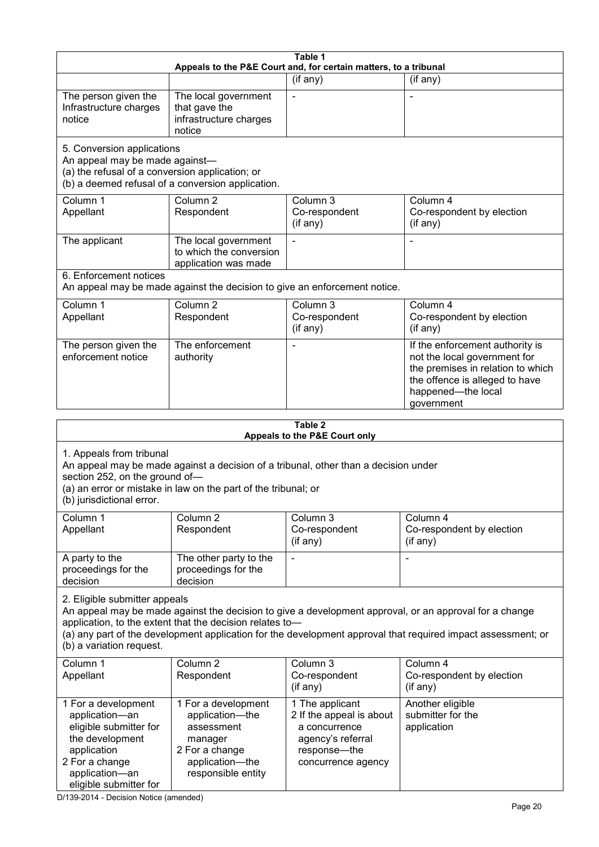|                                                                                                                                                                 |                                                                                                                                                       | Table 1                                                                                                                 |                                                                                                                                                                                                                        |
|-----------------------------------------------------------------------------------------------------------------------------------------------------------------|-------------------------------------------------------------------------------------------------------------------------------------------------------|-------------------------------------------------------------------------------------------------------------------------|------------------------------------------------------------------------------------------------------------------------------------------------------------------------------------------------------------------------|
|                                                                                                                                                                 |                                                                                                                                                       | Appeals to the P&E Court and, for certain matters, to a tribunal                                                        |                                                                                                                                                                                                                        |
| The person given the<br>Infrastructure charges<br>notice                                                                                                        | The local government<br>that gave the<br>infrastructure charges<br>notice                                                                             | (if any)                                                                                                                | (if any)                                                                                                                                                                                                               |
| 5. Conversion applications<br>An appeal may be made against-<br>(a) the refusal of a conversion application; or                                                 | (b) a deemed refusal of a conversion application.                                                                                                     |                                                                                                                         |                                                                                                                                                                                                                        |
| Column 1<br>Appellant                                                                                                                                           | Column <sub>2</sub><br>Respondent                                                                                                                     | Column 3<br>Co-respondent<br>(if any)                                                                                   | Column 4<br>Co-respondent by election<br>(if any)                                                                                                                                                                      |
| The applicant                                                                                                                                                   | The local government<br>to which the conversion<br>application was made                                                                               |                                                                                                                         |                                                                                                                                                                                                                        |
| 6. Enforcement notices                                                                                                                                          | An appeal may be made against the decision to give an enforcement notice.                                                                             |                                                                                                                         |                                                                                                                                                                                                                        |
| Column 1<br>Appellant                                                                                                                                           | Column <sub>2</sub><br>Respondent                                                                                                                     | Column 3<br>Co-respondent<br>(if any)                                                                                   | Column 4<br>Co-respondent by election<br>(if any)                                                                                                                                                                      |
| The person given the<br>enforcement notice                                                                                                                      | The enforcement<br>authority                                                                                                                          |                                                                                                                         | If the enforcement authority is<br>not the local government for<br>the premises in relation to which<br>the offence is alleged to have<br>happened-the local<br>government                                             |
|                                                                                                                                                                 |                                                                                                                                                       | Table 2                                                                                                                 |                                                                                                                                                                                                                        |
| 1. Appeals from tribunal<br>section 252, on the ground of-<br>(b) jurisdictional error.                                                                         | An appeal may be made against a decision of a tribunal, other than a decision under<br>(a) an error or mistake in law on the part of the tribunal; or | Appeals to the P&E Court only                                                                                           |                                                                                                                                                                                                                        |
| Column 1<br>Appellant                                                                                                                                           | Column <sub>2</sub><br>Respondent                                                                                                                     | Column 3<br>Co-respondent<br>(if any)                                                                                   | Column 4<br>Co-respondent by election<br>(if any)                                                                                                                                                                      |
| A party to the<br>proceedings for the<br>decision                                                                                                               | The other party to the<br>proceedings for the<br>decision                                                                                             |                                                                                                                         |                                                                                                                                                                                                                        |
| 2. Eligible submitter appeals<br>(b) a variation request.                                                                                                       | application, to the extent that the decision relates to-                                                                                              |                                                                                                                         | An appeal may be made against the decision to give a development approval, or an approval for a change<br>(a) any part of the development application for the development approval that required impact assessment; or |
| Column 1<br>Appellant                                                                                                                                           | Column <sub>2</sub><br>Respondent                                                                                                                     | Column 3<br>Co-respondent<br>(if any)                                                                                   | Column 4<br>Co-respondent by election<br>(if any)                                                                                                                                                                      |
| 1 For a development<br>application-an<br>eligible submitter for<br>the development<br>application<br>2 For a change<br>application-an<br>eligible submitter for | 1 For a development<br>application-the<br>assessment<br>manager<br>2 For a change<br>application-the<br>responsible entity                            | 1 The applicant<br>2 If the appeal is about<br>a concurrence<br>agency's referral<br>response-the<br>concurrence agency | Another eligible<br>submitter for the<br>application                                                                                                                                                                   |

D/139-2014 - Decision Notice (amended)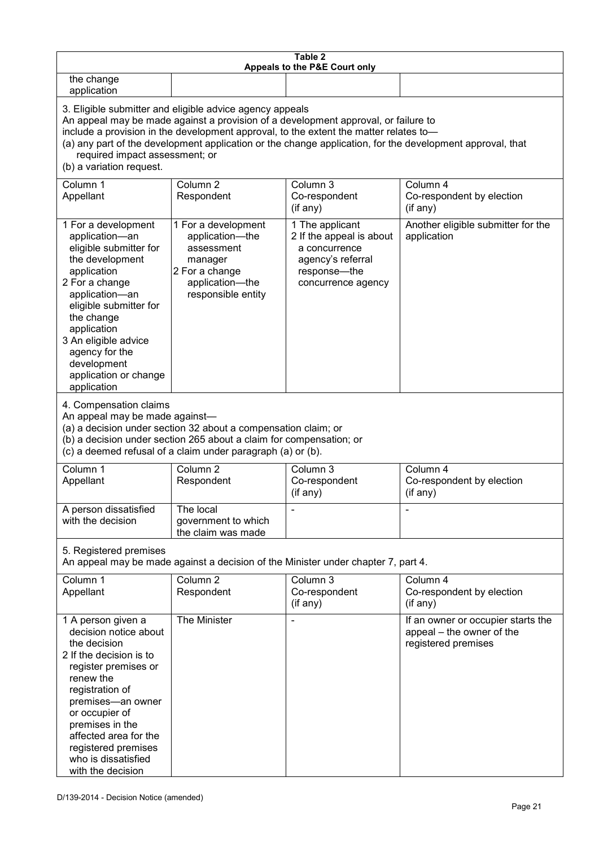| Table 2<br>Appeals to the P&E Court only                                                                                                                                                                                                                                                                                                                                                                           |                                                                                                                            |                                                                                                                         |                                                                                        |  |
|--------------------------------------------------------------------------------------------------------------------------------------------------------------------------------------------------------------------------------------------------------------------------------------------------------------------------------------------------------------------------------------------------------------------|----------------------------------------------------------------------------------------------------------------------------|-------------------------------------------------------------------------------------------------------------------------|----------------------------------------------------------------------------------------|--|
| the change<br>application                                                                                                                                                                                                                                                                                                                                                                                          |                                                                                                                            |                                                                                                                         |                                                                                        |  |
| 3. Eligible submitter and eligible advice agency appeals<br>An appeal may be made against a provision of a development approval, or failure to<br>include a provision in the development approval, to the extent the matter relates to-<br>(a) any part of the development application or the change application, for the development approval, that<br>required impact assessment; or<br>(b) a variation request. |                                                                                                                            |                                                                                                                         |                                                                                        |  |
| Column 1<br>Appellant                                                                                                                                                                                                                                                                                                                                                                                              | Column <sub>2</sub><br>Respondent                                                                                          | Column 3<br>Co-respondent<br>(if any)                                                                                   | Column 4<br>Co-respondent by election<br>(if any)                                      |  |
| 1 For a development<br>application-an<br>eligible submitter for<br>the development<br>application<br>2 For a change<br>application-an<br>eligible submitter for<br>the change<br>application<br>3 An eligible advice<br>agency for the<br>development<br>application or change<br>application                                                                                                                      | 1 For a development<br>application-the<br>assessment<br>manager<br>2 For a change<br>application-the<br>responsible entity | 1 The applicant<br>2 If the appeal is about<br>a concurrence<br>agency's referral<br>response-the<br>concurrence agency | Another eligible submitter for the<br>application                                      |  |
| 4. Compensation claims<br>An appeal may be made against-<br>(a) a decision under section 32 about a compensation claim; or<br>(b) a decision under section 265 about a claim for compensation; or<br>(c) a deemed refusal of a claim under paragraph (a) or (b).                                                                                                                                                   |                                                                                                                            |                                                                                                                         |                                                                                        |  |
| Column 1<br>Appellant                                                                                                                                                                                                                                                                                                                                                                                              | Column <sub>2</sub><br>Respondent                                                                                          | Column 3<br>Co-respondent<br>(if any)                                                                                   | Column 4<br>Co-respondent by election<br>(if any)                                      |  |
| A person dissatisfied<br>with the decision                                                                                                                                                                                                                                                                                                                                                                         | The local<br>government to which<br>the claim was made                                                                     |                                                                                                                         |                                                                                        |  |
| 5. Registered premises<br>An appeal may be made against a decision of the Minister under chapter 7, part 4.                                                                                                                                                                                                                                                                                                        |                                                                                                                            |                                                                                                                         |                                                                                        |  |
| Column 1<br>Appellant                                                                                                                                                                                                                                                                                                                                                                                              | Column <sub>2</sub><br>Respondent                                                                                          | Column 3<br>Co-respondent<br>(if any)                                                                                   | Column 4<br>Co-respondent by election<br>(if any)                                      |  |
| 1 A person given a<br>decision notice about<br>the decision<br>2 If the decision is to<br>register premises or<br>renew the<br>registration of<br>premises-an owner<br>or occupier of<br>premises in the<br>affected area for the<br>registered premises<br>who is dissatisfied<br>with the decision                                                                                                               | The Minister                                                                                                               |                                                                                                                         | If an owner or occupier starts the<br>appeal - the owner of the<br>registered premises |  |